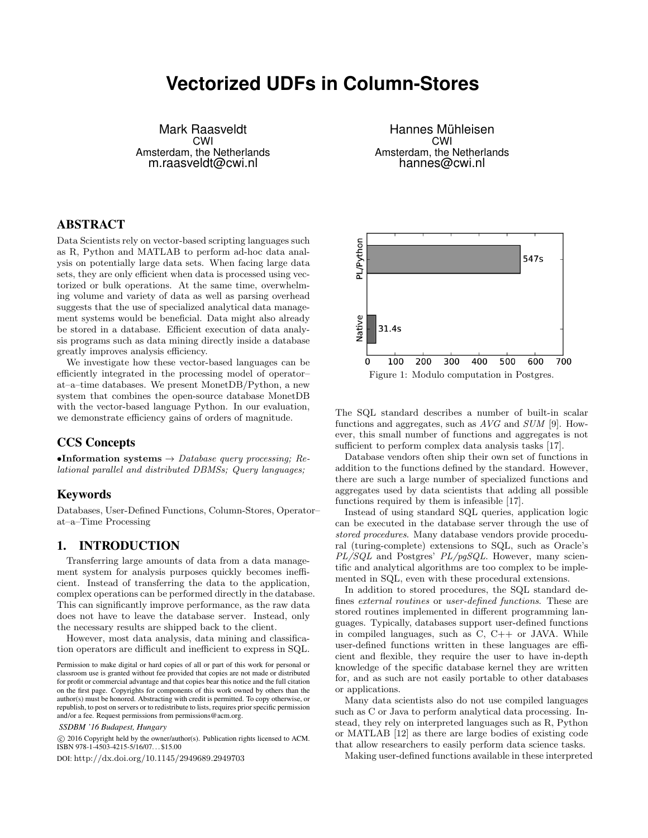# **Vectorized UDFs in Column-Stores**

Mark Raasveldt CWI Amsterdam, the Netherlands m.raasveldt@cwi.nl

ABSTRACT

Data Scientists rely on vector-based scripting languages such as R, Python and MATLAB to perform ad-hoc data analysis on potentially large data sets. When facing large data sets, they are only efficient when data is processed using vectorized or bulk operations. At the same time, overwhelming volume and variety of data as well as parsing overhead suggests that the use of specialized analytical data management systems would be beneficial. Data might also already be stored in a database. Efficient execution of data analysis programs such as data mining directly inside a database greatly improves analysis efficiency.

We investigate how these vector-based languages can be efficiently integrated in the processing model of operator– at–a–time databases. We present MonetDB/Python, a new system that combines the open-source database MonetDB with the vector-based language Python. In our evaluation, we demonstrate efficiency gains of orders of magnitude.

# CCS Concepts

•Information systems  $\rightarrow$  Database query processing; Relational parallel and distributed DBMSs; Query languages;

## Keywords

Databases, User-Defined Functions, Column-Stores, Operator– at–a–Time Processing

## 1. INTRODUCTION

Transferring large amounts of data from a data management system for analysis purposes quickly becomes inefficient. Instead of transferring the data to the application, complex operations can be performed directly in the database. This can significantly improve performance, as the raw data does not have to leave the database server. Instead, only the necessary results are shipped back to the client.

However, most data analysis, data mining and classification operators are difficult and inefficient to express in SQL.

*SSDBM '16 Budapest, Hungary*

 c 2016 Copyright held by the owner/author(s). Publication rights licensed to ACM. ISBN 978-1-4503-4215-5/16/07. . . \$15.00

DOI: http://dx.doi.org/10.1145/2949689.2949703

Hannes Mühleisen CWI Amsterdam, the Netherlands hannes@cwi.nl



The SQL standard describes a number of built-in scalar functions and aggregates, such as  $AVG$  and  $SUM$  [9]. However, this small number of functions and aggregates is not sufficient to perform complex data analysis tasks [17].

Database vendors often ship their own set of functions in addition to the functions defined by the standard. However, there are such a large number of specialized functions and aggregates used by data scientists that adding all possible functions required by them is infeasible [17].

Instead of using standard SQL queries, application logic can be executed in the database server through the use of stored procedures. Many database vendors provide procedural (turing-complete) extensions to SQL, such as Oracle's  $PL/SQL$  and Postgres'  $PL/pgSQL$ . However, many scientific and analytical algorithms are too complex to be implemented in SQL, even with these procedural extensions.

In addition to stored procedures, the SQL standard defines external routines or user-defined functions. These are stored routines implemented in different programming languages. Typically, databases support user-defined functions in compiled languages, such as  $C, C++$  or JAVA. While user-defined functions written in these languages are efficient and flexible, they require the user to have in-depth knowledge of the specific database kernel they are written for, and as such are not easily portable to other databases or applications.

Many data scientists also do not use compiled languages such as C or Java to perform analytical data processing. Instead, they rely on interpreted languages such as R, Python or MATLAB [12] as there are large bodies of existing code that allow researchers to easily perform data science tasks.

Making user-defined functions available in these interpreted

Permission to make digital or hard copies of all or part of this work for personal or classroom use is granted without fee provided that copies are not made or distributed for profit or commercial advantage and that copies bear this notice and the full citation on the first page. Copyrights for components of this work owned by others than the author(s) must be honored. Abstracting with credit is permitted. To copy otherwise, or republish, to post on servers or to redistribute to lists, requires prior specific permission and/or a fee. Request permissions from permissions@acm.org.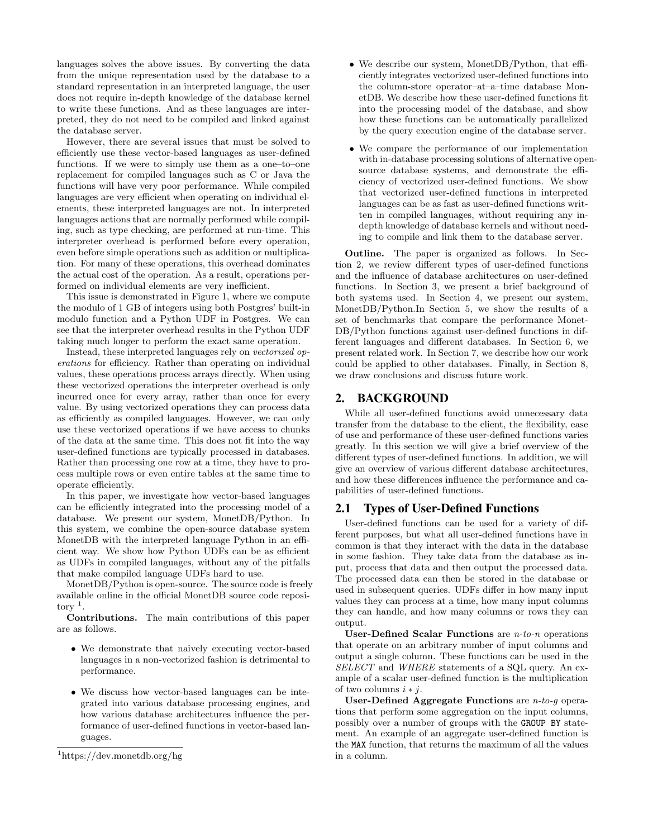languages solves the above issues. By converting the data from the unique representation used by the database to a standard representation in an interpreted language, the user does not require in-depth knowledge of the database kernel to write these functions. And as these languages are interpreted, they do not need to be compiled and linked against the database server.

However, there are several issues that must be solved to efficiently use these vector-based languages as user-defined functions. If we were to simply use them as a one–to–one replacement for compiled languages such as C or Java the functions will have very poor performance. While compiled languages are very efficient when operating on individual elements, these interpreted languages are not. In interpreted languages actions that are normally performed while compiling, such as type checking, are performed at run-time. This interpreter overhead is performed before every operation, even before simple operations such as addition or multiplication. For many of these operations, this overhead dominates the actual cost of the operation. As a result, operations performed on individual elements are very inefficient.

This issue is demonstrated in Figure 1, where we compute the modulo of 1 GB of integers using both Postgres' built-in modulo function and a Python UDF in Postgres. We can see that the interpreter overhead results in the Python UDF taking much longer to perform the exact same operation.

Instead, these interpreted languages rely on vectorized operations for efficiency. Rather than operating on individual values, these operations process arrays directly. When using these vectorized operations the interpreter overhead is only incurred once for every array, rather than once for every value. By using vectorized operations they can process data as efficiently as compiled languages. However, we can only use these vectorized operations if we have access to chunks of the data at the same time. This does not fit into the way user-defined functions are typically processed in databases. Rather than processing one row at a time, they have to process multiple rows or even entire tables at the same time to operate efficiently.

In this paper, we investigate how vector-based languages can be efficiently integrated into the processing model of a database. We present our system, MonetDB/Python. In this system, we combine the open-source database system MonetDB with the interpreted language Python in an efficient way. We show how Python UDFs can be as efficient as UDFs in compiled languages, without any of the pitfalls that make compiled language UDFs hard to use.

MonetDB/Python is open-source. The source code is freely available online in the official MonetDB source code reposi- $\mathrm{tory}\ ^{1}.$ 

Contributions. The main contributions of this paper are as follows.

- We demonstrate that naively executing vector-based languages in a non-vectorized fashion is detrimental to performance.
- We discuss how vector-based languages can be integrated into various database processing engines, and how various database architectures influence the performance of user-defined functions in vector-based languages.
- We describe our system, MonetDB/Python, that efficiently integrates vectorized user-defined functions into the column-store operator–at–a–time database MonetDB. We describe how these user-defined functions fit into the processing model of the database, and show how these functions can be automatically parallelized by the query execution engine of the database server.
- We compare the performance of our implementation with in-database processing solutions of alternative opensource database systems, and demonstrate the efficiency of vectorized user-defined functions. We show that vectorized user-defined functions in interpreted languages can be as fast as user-defined functions written in compiled languages, without requiring any indepth knowledge of database kernels and without needing to compile and link them to the database server.

Outline. The paper is organized as follows. In Section 2, we review different types of user-defined functions and the influence of database architectures on user-defined functions. In Section 3, we present a brief background of both systems used. In Section 4, we present our system, MonetDB/Python.In Section 5, we show the results of a set of benchmarks that compare the performance Monet-DB/Python functions against user-defined functions in different languages and different databases. In Section 6, we present related work. In Section 7, we describe how our work could be applied to other databases. Finally, in Section 8, we draw conclusions and discuss future work.

## 2. BACKGROUND

While all user-defined functions avoid unnecessary data transfer from the database to the client, the flexibility, ease of use and performance of these user-defined functions varies greatly. In this section we will give a brief overview of the different types of user-defined functions. In addition, we will give an overview of various different database architectures, and how these differences influence the performance and capabilities of user-defined functions.

## 2.1 Types of User-Defined Functions

User-defined functions can be used for a variety of different purposes, but what all user-defined functions have in common is that they interact with the data in the database in some fashion. They take data from the database as input, process that data and then output the processed data. The processed data can then be stored in the database or used in subsequent queries. UDFs differ in how many input values they can process at a time, how many input columns they can handle, and how many columns or rows they can output.

User-Defined Scalar Functions are  $n-to-n$  operations that operate on an arbitrary number of input columns and output a single column. These functions can be used in the SELECT and WHERE statements of a SQL query. An example of a scalar user-defined function is the multiplication of two columns  $i * j$ .

User-Defined Aggregate Functions are n-to-g operations that perform some aggregation on the input columns, possibly over a number of groups with the GROUP BY statement. An example of an aggregate user-defined function is the MAX function, that returns the maximum of all the values in a column.

<sup>1</sup>https://dev.monetdb.org/hg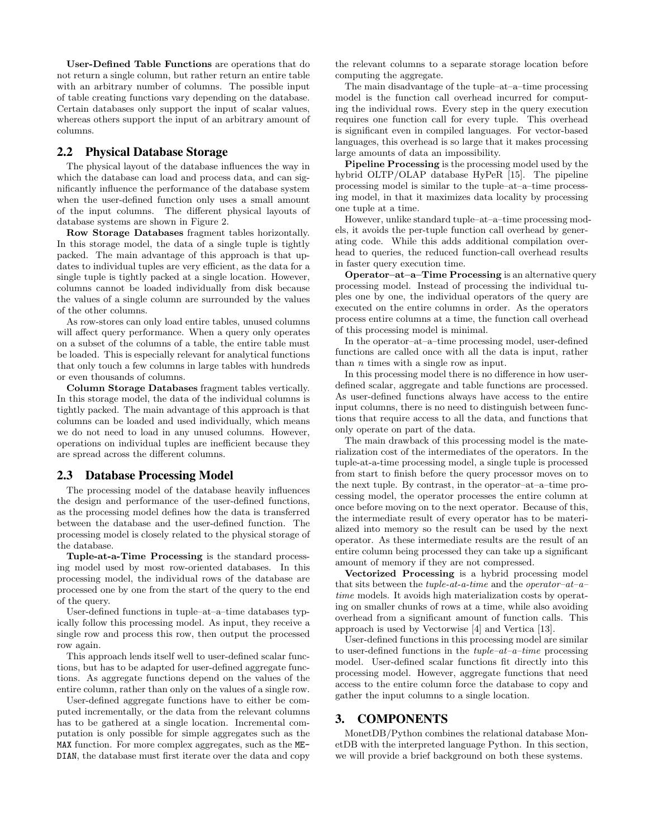User-Defined Table Functions are operations that do not return a single column, but rather return an entire table with an arbitrary number of columns. The possible input of table creating functions vary depending on the database. Certain databases only support the input of scalar values, whereas others support the input of an arbitrary amount of columns.

## 2.2 Physical Database Storage

The physical layout of the database influences the way in which the database can load and process data, and can significantly influence the performance of the database system when the user-defined function only uses a small amount of the input columns. The different physical layouts of database systems are shown in Figure 2.

Row Storage Databases fragment tables horizontally. In this storage model, the data of a single tuple is tightly packed. The main advantage of this approach is that updates to individual tuples are very efficient, as the data for a single tuple is tightly packed at a single location. However, columns cannot be loaded individually from disk because the values of a single column are surrounded by the values of the other columns.

As row-stores can only load entire tables, unused columns will affect query performance. When a query only operates on a subset of the columns of a table, the entire table must be loaded. This is especially relevant for analytical functions that only touch a few columns in large tables with hundreds or even thousands of columns.

Column Storage Databases fragment tables vertically. In this storage model, the data of the individual columns is tightly packed. The main advantage of this approach is that columns can be loaded and used individually, which means we do not need to load in any unused columns. However, operations on individual tuples are inefficient because they are spread across the different columns.

## 2.3 Database Processing Model

The processing model of the database heavily influences the design and performance of the user-defined functions, as the processing model defines how the data is transferred between the database and the user-defined function. The processing model is closely related to the physical storage of the database.

Tuple-at-a-Time Processing is the standard processing model used by most row-oriented databases. In this processing model, the individual rows of the database are processed one by one from the start of the query to the end of the query.

User-defined functions in tuple–at–a–time databases typically follow this processing model. As input, they receive a single row and process this row, then output the processed row again.

This approach lends itself well to user-defined scalar functions, but has to be adapted for user-defined aggregate functions. As aggregate functions depend on the values of the entire column, rather than only on the values of a single row.

User-defined aggregate functions have to either be computed incrementally, or the data from the relevant columns has to be gathered at a single location. Incremental computation is only possible for simple aggregates such as the MAX function. For more complex aggregates, such as the ME-DIAN, the database must first iterate over the data and copy

the relevant columns to a separate storage location before computing the aggregate.

The main disadvantage of the tuple–at–a–time processing model is the function call overhead incurred for computing the individual rows. Every step in the query execution requires one function call for every tuple. This overhead is significant even in compiled languages. For vector-based languages, this overhead is so large that it makes processing large amounts of data an impossibility.

Pipeline Processing is the processing model used by the hybrid OLTP/OLAP database HyPeR [15]. The pipeline processing model is similar to the tuple–at–a–time processing model, in that it maximizes data locality by processing one tuple at a time.

However, unlike standard tuple–at–a–time processing models, it avoids the per-tuple function call overhead by generating code. While this adds additional compilation overhead to queries, the reduced function-call overhead results in faster query execution time.

Operator–at–a–Time Processing is an alternative query processing model. Instead of processing the individual tuples one by one, the individual operators of the query are executed on the entire columns in order. As the operators process entire columns at a time, the function call overhead of this processing model is minimal.

In the operator–at–a–time processing model, user-defined functions are called once with all the data is input, rather than n times with a single row as input.

In this processing model there is no difference in how userdefined scalar, aggregate and table functions are processed. As user-defined functions always have access to the entire input columns, there is no need to distinguish between functions that require access to all the data, and functions that only operate on part of the data.

The main drawback of this processing model is the materialization cost of the intermediates of the operators. In the tuple-at-a-time processing model, a single tuple is processed from start to finish before the query processor moves on to the next tuple. By contrast, in the operator–at–a–time processing model, the operator processes the entire column at once before moving on to the next operator. Because of this, the intermediate result of every operator has to be materialized into memory so the result can be used by the next operator. As these intermediate results are the result of an entire column being processed they can take up a significant amount of memory if they are not compressed.

Vectorized Processing is a hybrid processing model that sits between the *tuple-at-a-time* and the *operator-at-a*time models. It avoids high materialization costs by operating on smaller chunks of rows at a time, while also avoiding overhead from a significant amount of function calls. This approach is used by Vectorwise [4] and Vertica [13].

User-defined functions in this processing model are similar to user-defined functions in the  $tuple-at-a-time$  processing model. User-defined scalar functions fit directly into this processing model. However, aggregate functions that need access to the entire column force the database to copy and gather the input columns to a single location.

## 3. COMPONENTS

MonetDB/Python combines the relational database MonetDB with the interpreted language Python. In this section, we will provide a brief background on both these systems.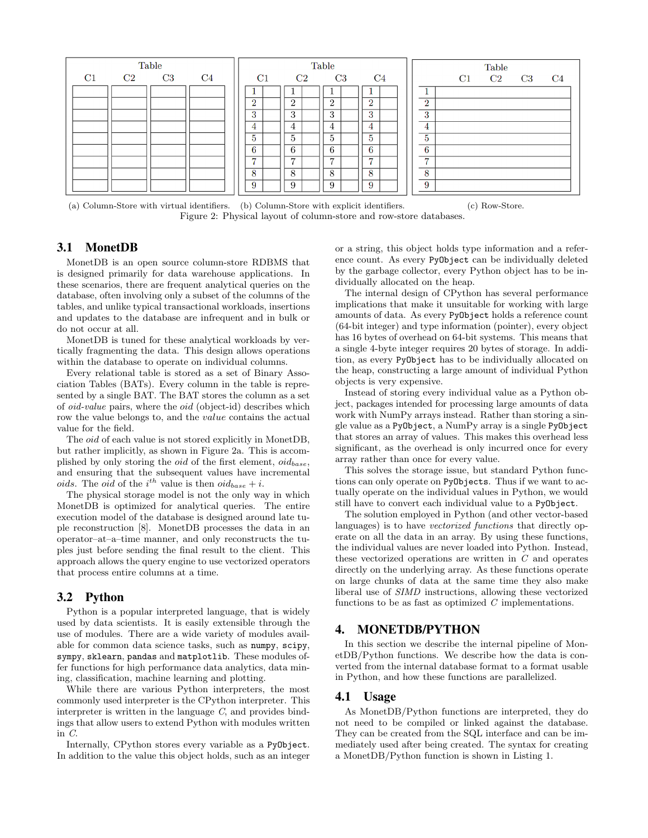

(a) Column-Store with virtual identifiers. (b) Column-Store with explicit identifiers. (c) Row-Store. Figure 2: Physical layout of column-store and row-store databases.

## 3.1 MonetDB

MonetDB is an open source column-store RDBMS that is designed primarily for data warehouse applications. In these scenarios, there are frequent analytical queries on the database, often involving only a subset of the columns of the tables, and unlike typical transactional workloads, insertions and updates to the database are infrequent and in bulk or do not occur at all.

MonetDB is tuned for these analytical workloads by vertically fragmenting the data. This design allows operations within the database to operate on individual columns.

Every relational table is stored as a set of Binary Association Tables (BATs). Every column in the table is represented by a single BAT. The BAT stores the column as a set of oid-value pairs, where the oid (object-id) describes which row the value belongs to, and the value contains the actual value for the field.

The oid of each value is not stored explicitly in MonetDB, but rather implicitly, as shown in Figure 2a. This is accomplished by only storing the *oid* of the first element,  $oid_{base}$ , and ensuring that the subsequent values have incremental oids. The oid of the i<sup>th</sup> value is then oid<sub>base</sub> + i.

The physical storage model is not the only way in which MonetDB is optimized for analytical queries. The entire execution model of the database is designed around late tuple reconstruction [8]. MonetDB processes the data in an operator–at–a–time manner, and only reconstructs the tuples just before sending the final result to the client. This approach allows the query engine to use vectorized operators that process entire columns at a time.

## 3.2 Python

Python is a popular interpreted language, that is widely used by data scientists. It is easily extensible through the use of modules. There are a wide variety of modules available for common data science tasks, such as numpy, scipy, sympy, sklearn, pandas and matplotlib. These modules offer functions for high performance data analytics, data mining, classification, machine learning and plotting.

While there are various Python interpreters, the most commonly used interpreter is the CPython interpreter. This interpreter is written in the language C, and provides bindings that allow users to extend Python with modules written in C.

Internally, CPython stores every variable as a PyObject. In addition to the value this object holds, such as an integer

or a string, this object holds type information and a reference count. As every PyObject can be individually deleted by the garbage collector, every Python object has to be individually allocated on the heap.

The internal design of CPython has several performance implications that make it unsuitable for working with large amounts of data. As every PyObject holds a reference count (64-bit integer) and type information (pointer), every object has 16 bytes of overhead on 64-bit systems. This means that a single 4-byte integer requires 20 bytes of storage. In addition, as every PyObject has to be individually allocated on the heap, constructing a large amount of individual Python objects is very expensive.

Instead of storing every individual value as a Python object, packages intended for processing large amounts of data work with NumPy arrays instead. Rather than storing a single value as a PyObject, a NumPy array is a single PyObject that stores an array of values. This makes this overhead less significant, as the overhead is only incurred once for every array rather than once for every value.

This solves the storage issue, but standard Python functions can only operate on PyObjects. Thus if we want to actually operate on the individual values in Python, we would still have to convert each individual value to a PyObject.

The solution employed in Python (and other vector-based languages) is to have vectorized functions that directly operate on all the data in an array. By using these functions, the individual values are never loaded into Python. Instead, these vectorized operations are written in C and operates directly on the underlying array. As these functions operate on large chunks of data at the same time they also make liberal use of SIMD instructions, allowing these vectorized functions to be as fast as optimized C implementations.

## 4. MONETDB/PYTHON

In this section we describe the internal pipeline of MonetDB/Python functions. We describe how the data is converted from the internal database format to a format usable in Python, and how these functions are parallelized.

## 4.1 Usage

As MonetDB/Python functions are interpreted, they do not need to be compiled or linked against the database. They can be created from the SQL interface and can be immediately used after being created. The syntax for creating a MonetDB/Python function is shown in Listing 1.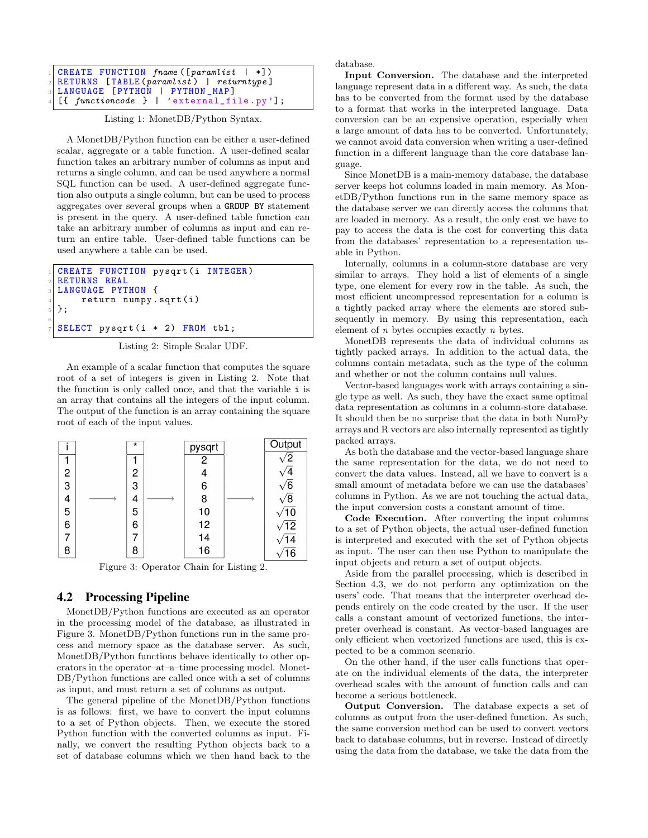| $\frac{1}{1}$ CREATE FUNCTION frame ([paramlist   *])  |
|--------------------------------------------------------|
| $_{2}$   RETURNS [TABLE(paramlist)   returntype]       |
| 3 LANGUAGE [PYTHON   PYTHON_MAP]                       |
| $\frac{1}{4}$ [{ functioncode }   'external_file.py']; |

Listing 1: MonetDB/Python Syntax.

A MonetDB/Python function can be either a user-defined scalar, aggregate or a table function. A user-defined scalar function takes an arbitrary number of columns as input and returns a single column, and can be used anywhere a normal SQL function can be used. A user-defined aggregate function also outputs a single column, but can be used to process aggregates over several groups when a GROUP BY statement is present in the query. A user-defined table function can take an arbitrary number of columns as input and can return an entire table. User-defined table functions can be used anywhere a table can be used.

```
CREATE FUNCTION pysqrt (i INTEGER)
 RETURNS REAL
 LANGUAGE PYTHON {
     return numpy.sqrt(i)
 5 };
6
 SELECT pysqrt (i * 2) FROM tbl;
```
Listing 2: Simple Scalar UDF.

An example of a scalar function that computes the square root of a set of integers is given in Listing 2. Note that the function is only called once, and that the variable i is an array that contains all the integers of the input column. The output of the function is an array containing the square root of each of the input values.



Figure 3: Operator Chain for Listing 2.

#### 4.2 Processing Pipeline

MonetDB/Python functions are executed as an operator in the processing model of the database, as illustrated in Figure 3. MonetDB/Python functions run in the same process and memory space as the database server. As such, MonetDB/Python functions behave identically to other operators in the operator–at–a–time processing model. Monet-DB/Python functions are called once with a set of columns as input, and must return a set of columns as output.

The general pipeline of the MonetDB/Python functions is as follows: first, we have to convert the input columns to a set of Python objects. Then, we execute the stored Python function with the converted columns as input. Finally, we convert the resulting Python objects back to a set of database columns which we then hand back to the

database.

Input Conversion. The database and the interpreted language represent data in a different way. As such, the data has to be converted from the format used by the database to a format that works in the interpreted language. Data conversion can be an expensive operation, especially when a large amount of data has to be converted. Unfortunately, we cannot avoid data conversion when writing a user-defined function in a different language than the core database language.

Since MonetDB is a main-memory database, the database server keeps hot columns loaded in main memory. As MonetDB/Python functions run in the same memory space as the database server we can directly access the columns that are loaded in memory. As a result, the only cost we have to pay to access the data is the cost for converting this data from the databases' representation to a representation usable in Python.

Internally, columns in a column-store database are very similar to arrays. They hold a list of elements of a single type, one element for every row in the table. As such, the most efficient uncompressed representation for a column is a tightly packed array where the elements are stored subsequently in memory. By using this representation, each element of n bytes occupies exactly n bytes.

MonetDB represents the data of individual columns as tightly packed arrays. In addition to the actual data, the columns contain metadata, such as the type of the column and whether or not the column contains null values.

Vector-based languages work with arrays containing a single type as well. As such, they have the exact same optimal data representation as columns in a column-store database. It should then be no surprise that the data in both NumPy arrays and R vectors are also internally represented as tightly packed arrays.

As both the database and the vector-based language share the same representation for the data, we do not need to convert the data values. Instead, all we have to convert is a small amount of metadata before we can use the databases' columns in Python. As we are not touching the actual data, the input conversion costs a constant amount of time.

Code Execution. After converting the input columns to a set of Python objects, the actual user-defined function is interpreted and executed with the set of Python objects as input. The user can then use Python to manipulate the input objects and return a set of output objects.

Aside from the parallel processing, which is described in Section 4.3, we do not perform any optimization on the users' code. That means that the interpreter overhead depends entirely on the code created by the user. If the user calls a constant amount of vectorized functions, the interpreter overhead is constant. As vector-based languages are only efficient when vectorized functions are used, this is expected to be a common scenario.

On the other hand, if the user calls functions that operate on the individual elements of the data, the interpreter overhead scales with the amount of function calls and can become a serious bottleneck.

Output Conversion. The database expects a set of columns as output from the user-defined function. As such, the same conversion method can be used to convert vectors back to database columns, but in reverse. Instead of directly using the data from the database, we take the data from the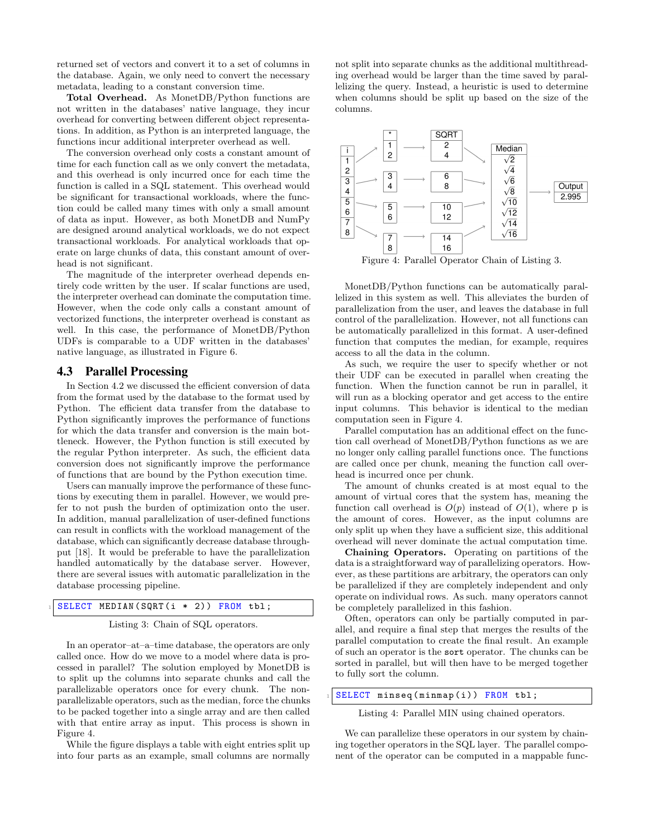returned set of vectors and convert it to a set of columns in the database. Again, we only need to convert the necessary metadata, leading to a constant conversion time.

Total Overhead. As MonetDB/Python functions are not written in the databases' native language, they incur overhead for converting between different object representations. In addition, as Python is an interpreted language, the functions incur additional interpreter overhead as well.

The conversion overhead only costs a constant amount of time for each function call as we only convert the metadata, and this overhead is only incurred once for each time the function is called in a SQL statement. This overhead would be significant for transactional workloads, where the function could be called many times with only a small amount of data as input. However, as both MonetDB and NumPy are designed around analytical workloads, we do not expect transactional workloads. For analytical workloads that operate on large chunks of data, this constant amount of overhead is not significant.

The magnitude of the interpreter overhead depends entirely code written by the user. If scalar functions are used, the interpreter overhead can dominate the computation time. However, when the code only calls a constant amount of vectorized functions, the interpreter overhead is constant as well. In this case, the performance of MonetDB/Python UDFs is comparable to a UDF written in the databases' native language, as illustrated in Figure 6.

## 4.3 Parallel Processing

In Section 4.2 we discussed the efficient conversion of data from the format used by the database to the format used by Python. The efficient data transfer from the database to Python significantly improves the performance of functions for which the data transfer and conversion is the main bottleneck. However, the Python function is still executed by the regular Python interpreter. As such, the efficient data conversion does not significantly improve the performance of functions that are bound by the Python execution time.

Users can manually improve the performance of these functions by executing them in parallel. However, we would prefer to not push the burden of optimization onto the user. In addition, manual parallelization of user-defined functions can result in conflicts with the workload management of the database, which can significantly decrease database throughput [18]. It would be preferable to have the parallelization handled automatically by the database server. However, there are several issues with automatic parallelization in the database processing pipeline.

|  | $_1$ SELECT MEDIAN(SQRT(i $*$ 2)) FROM tbl; |  |  |  |  |
|--|---------------------------------------------|--|--|--|--|
|--|---------------------------------------------|--|--|--|--|

Listing 3: Chain of SQL operators.

In an operator–at–a–time database, the operators are only called once. How do we move to a model where data is processed in parallel? The solution employed by MonetDB is to split up the columns into separate chunks and call the parallelizable operators once for every chunk. The nonparallelizable operators, such as the median, force the chunks to be packed together into a single array and are then called with that entire array as input. This process is shown in Figure 4.

While the figure displays a table with eight entries split up into four parts as an example, small columns are normally

not split into separate chunks as the additional multithreading overhead would be larger than the time saved by parallelizing the query. Instead, a heuristic is used to determine when columns should be split up based on the size of the columns.



Figure 4: Parallel Operator Chain of Listing 3.

MonetDB/Python functions can be automatically parallelized in this system as well. This alleviates the burden of parallelization from the user, and leaves the database in full control of the parallelization. However, not all functions can be automatically parallelized in this format. A user-defined function that computes the median, for example, requires access to all the data in the column.

As such, we require the user to specify whether or not their UDF can be executed in parallel when creating the function. When the function cannot be run in parallel, it will run as a blocking operator and get access to the entire input columns. This behavior is identical to the median computation seen in Figure 4.

Parallel computation has an additional effect on the function call overhead of MonetDB/Python functions as we are no longer only calling parallel functions once. The functions are called once per chunk, meaning the function call overhead is incurred once per chunk.

The amount of chunks created is at most equal to the amount of virtual cores that the system has, meaning the function call overhead is  $O(p)$  instead of  $O(1)$ , where p is the amount of cores. However, as the input columns are only split up when they have a sufficient size, this additional overhead will never dominate the actual computation time.

Chaining Operators. Operating on partitions of the data is a straightforward way of parallelizing operators. However, as these partitions are arbitrary, the operators can only be parallelized if they are completely independent and only operate on individual rows. As such. many operators cannot be completely parallelized in this fashion.

Often, operators can only be partially computed in parallel, and require a final step that merges the results of the parallel computation to create the final result. An example of such an operator is the sort operator. The chunks can be sorted in parallel, but will then have to be merged together to fully sort the column.

Listing 4: Parallel MIN using chained operators.

We can parallelize these operators in our system by chaining together operators in the SQL layer. The parallel component of the operator can be computed in a mappable func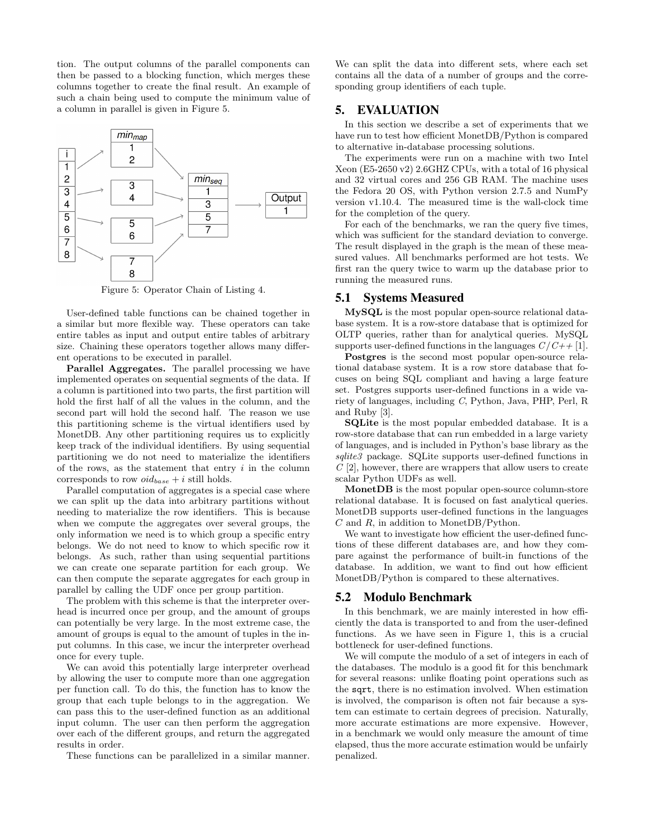tion. The output columns of the parallel components can then be passed to a blocking function, which merges these columns together to create the final result. An example of such a chain being used to compute the minimum value of a column in parallel is given in Figure 5.



Figure 5: Operator Chain of Listing 4.

User-defined table functions can be chained together in a similar but more flexible way. These operators can take entire tables as input and output entire tables of arbitrary size. Chaining these operators together allows many different operations to be executed in parallel.

Parallel Aggregates. The parallel processing we have implemented operates on sequential segments of the data. If a column is partitioned into two parts, the first partition will hold the first half of all the values in the column, and the second part will hold the second half. The reason we use this partitioning scheme is the virtual identifiers used by MonetDB. Any other partitioning requires us to explicitly keep track of the individual identifiers. By using sequential partitioning we do not need to materialize the identifiers of the rows, as the statement that entry  $i$  in the column corresponds to row  $oid_{base} + i$  still holds.

Parallel computation of aggregates is a special case where we can split up the data into arbitrary partitions without needing to materialize the row identifiers. This is because when we compute the aggregates over several groups, the only information we need is to which group a specific entry belongs. We do not need to know to which specific row it belongs. As such, rather than using sequential partitions we can create one separate partition for each group. We can then compute the separate aggregates for each group in parallel by calling the UDF once per group partition.

The problem with this scheme is that the interpreter overhead is incurred once per group, and the amount of groups can potentially be very large. In the most extreme case, the amount of groups is equal to the amount of tuples in the input columns. In this case, we incur the interpreter overhead once for every tuple.

We can avoid this potentially large interpreter overhead by allowing the user to compute more than one aggregation per function call. To do this, the function has to know the group that each tuple belongs to in the aggregation. We can pass this to the user-defined function as an additional input column. The user can then perform the aggregation over each of the different groups, and return the aggregated results in order.

These functions can be parallelized in a similar manner.

We can split the data into different sets, where each set contains all the data of a number of groups and the corresponding group identifiers of each tuple.

## 5. EVALUATION

In this section we describe a set of experiments that we have run to test how efficient MonetDB/Python is compared to alternative in-database processing solutions.

The experiments were run on a machine with two Intel Xeon (E5-2650 v2) 2.6GHZ CPUs, with a total of 16 physical and 32 virtual cores and 256 GB RAM. The machine uses the Fedora 20 OS, with Python version 2.7.5 and NumPy version v1.10.4. The measured time is the wall-clock time for the completion of the query.

For each of the benchmarks, we ran the query five times, which was sufficient for the standard deviation to converge. The result displayed in the graph is the mean of these measured values. All benchmarks performed are hot tests. We first ran the query twice to warm up the database prior to running the measured runs.

#### 5.1 Systems Measured

MySQL is the most popular open-source relational database system. It is a row-store database that is optimized for OLTP queries, rather than for analytical queries. MySQL supports user-defined functions in the languages  $C/C_{+}+ [1]$ .

Postgres is the second most popular open-source relational database system. It is a row store database that focuses on being SQL compliant and having a large feature set. Postgres supports user-defined functions in a wide variety of languages, including C, Python, Java, PHP, Perl, R and Ruby [3].

SQLite is the most popular embedded database. It is a row-store database that can run embedded in a large variety of languages, and is included in Python's base library as the sqlite3 package. SQLite supports user-defined functions in  $C$  [2], however, there are wrappers that allow users to create scalar Python UDFs as well.

MonetDB is the most popular open-source column-store relational database. It is focused on fast analytical queries. MonetDB supports user-defined functions in the languages  $C$  and  $R$ , in addition to MonetDB/Python.

We want to investigate how efficient the user-defined functions of these different databases are, and how they compare against the performance of built-in functions of the database. In addition, we want to find out how efficient MonetDB/Python is compared to these alternatives.

#### 5.2 Modulo Benchmark

In this benchmark, we are mainly interested in how efficiently the data is transported to and from the user-defined functions. As we have seen in Figure 1, this is a crucial bottleneck for user-defined functions.

We will compute the modulo of a set of integers in each of the databases. The modulo is a good fit for this benchmark for several reasons: unlike floating point operations such as the sqrt, there is no estimation involved. When estimation is involved, the comparison is often not fair because a system can estimate to certain degrees of precision. Naturally, more accurate estimations are more expensive. However, in a benchmark we would only measure the amount of time elapsed, thus the more accurate estimation would be unfairly penalized.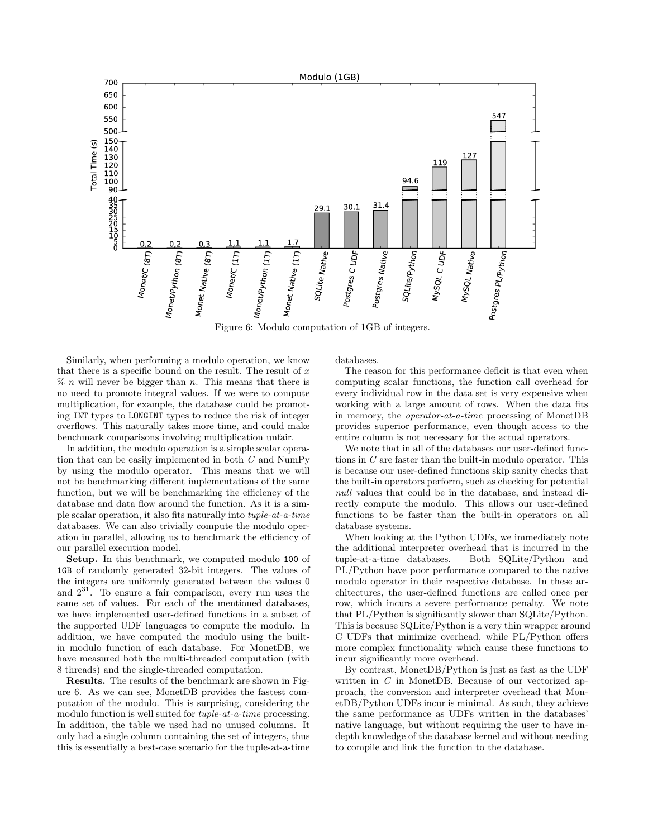

Figure 6: Modulo computation of 1GB of integers.

Similarly, when performing a modulo operation, we know that there is a specific bound on the result. The result of  $x$  $\%$  *n* will never be bigger than *n*. This means that there is no need to promote integral values. If we were to compute multiplication, for example, the database could be promoting INT types to LONGINT types to reduce the risk of integer overflows. This naturally takes more time, and could make benchmark comparisons involving multiplication unfair.

In addition, the modulo operation is a simple scalar operation that can be easily implemented in both C and NumPy by using the modulo operator. This means that we will not be benchmarking different implementations of the same function, but we will be benchmarking the efficiency of the database and data flow around the function. As it is a simple scalar operation, it also fits naturally into tuple-at-a-time databases. We can also trivially compute the modulo operation in parallel, allowing us to benchmark the efficiency of our parallel execution model.

Setup. In this benchmark, we computed modulo 100 of 1GB of randomly generated 32-bit integers. The values of the integers are uniformly generated between the values 0 and  $2^{31}$ . To ensure a fair comparison, every run uses the same set of values. For each of the mentioned databases, we have implemented user-defined functions in a subset of the supported UDF languages to compute the modulo. In addition, we have computed the modulo using the builtin modulo function of each database. For MonetDB, we have measured both the multi-threaded computation (with 8 threads) and the single-threaded computation.

Results. The results of the benchmark are shown in Figure 6. As we can see, MonetDB provides the fastest computation of the modulo. This is surprising, considering the modulo function is well suited for tuple-at-a-time processing. In addition, the table we used had no unused columns. It only had a single column containing the set of integers, thus this is essentially a best-case scenario for the tuple-at-a-time databases.

The reason for this performance deficit is that even when computing scalar functions, the function call overhead for every individual row in the data set is very expensive when working with a large amount of rows. When the data fits in memory, the operator-at-a-time processing of MonetDB provides superior performance, even though access to the entire column is not necessary for the actual operators.

We note that in all of the databases our user-defined functions in C are faster than the built-in modulo operator. This is because our user-defined functions skip sanity checks that the built-in operators perform, such as checking for potential null values that could be in the database, and instead directly compute the modulo. This allows our user-defined functions to be faster than the built-in operators on all database systems.

When looking at the Python UDFs, we immediately note the additional interpreter overhead that is incurred in the tuple-at-a-time databases. Both SQLite/Python and PL/Python have poor performance compared to the native modulo operator in their respective database. In these architectures, the user-defined functions are called once per row, which incurs a severe performance penalty. We note that PL/Python is significantly slower than SQLite/Python. This is because SQLite/Python is a very thin wrapper around C UDFs that minimize overhead, while PL/Python offers more complex functionality which cause these functions to incur significantly more overhead.

By contrast, MonetDB/Python is just as fast as the UDF written in C in MonetDB. Because of our vectorized approach, the conversion and interpreter overhead that MonetDB/Python UDFs incur is minimal. As such, they achieve the same performance as UDFs written in the databases' native language, but without requiring the user to have indepth knowledge of the database kernel and without needing to compile and link the function to the database.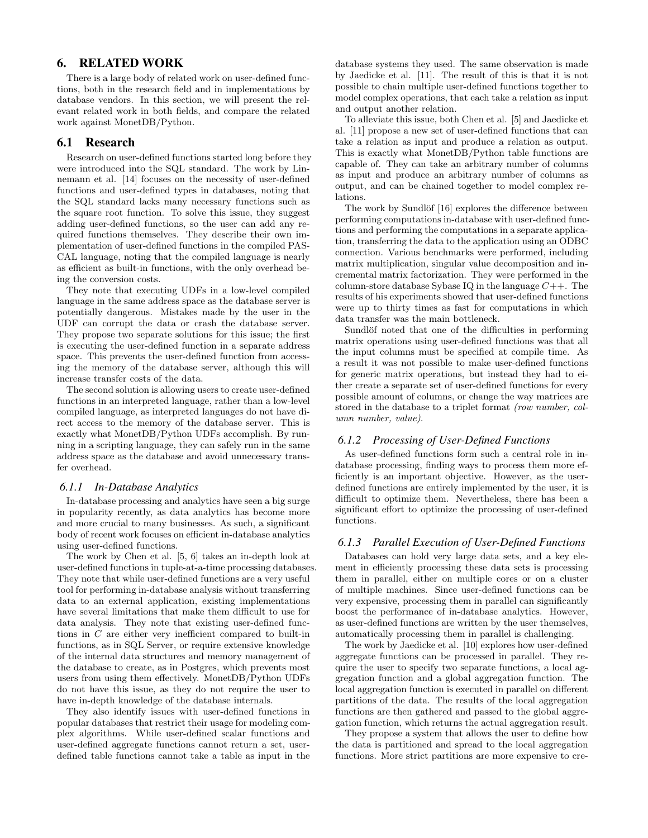# 6. RELATED WORK

There is a large body of related work on user-defined functions, both in the research field and in implementations by database vendors. In this section, we will present the relevant related work in both fields, and compare the related work against MonetDB/Python.

## 6.1 Research

Research on user-defined functions started long before they were introduced into the SQL standard. The work by Linnemann et al. [14] focuses on the necessity of user-defined functions and user-defined types in databases, noting that the SQL standard lacks many necessary functions such as the square root function. To solve this issue, they suggest adding user-defined functions, so the user can add any required functions themselves. They describe their own implementation of user-defined functions in the compiled PAS-CAL language, noting that the compiled language is nearly as efficient as built-in functions, with the only overhead being the conversion costs.

They note that executing UDFs in a low-level compiled language in the same address space as the database server is potentially dangerous. Mistakes made by the user in the UDF can corrupt the data or crash the database server. They propose two separate solutions for this issue; the first is executing the user-defined function in a separate address space. This prevents the user-defined function from accessing the memory of the database server, although this will increase transfer costs of the data.

The second solution is allowing users to create user-defined functions in an interpreted language, rather than a low-level compiled language, as interpreted languages do not have direct access to the memory of the database server. This is exactly what MonetDB/Python UDFs accomplish. By running in a scripting language, they can safely run in the same address space as the database and avoid unnecessary transfer overhead.

#### *6.1.1 In-Database Analytics*

In-database processing and analytics have seen a big surge in popularity recently, as data analytics has become more and more crucial to many businesses. As such, a significant body of recent work focuses on efficient in-database analytics using user-defined functions.

The work by Chen et al. [5, 6] takes an in-depth look at user-defined functions in tuple-at-a-time processing databases. They note that while user-defined functions are a very useful tool for performing in-database analysis without transferring data to an external application, existing implementations have several limitations that make them difficult to use for data analysis. They note that existing user-defined functions in C are either very inefficient compared to built-in functions, as in SQL Server, or require extensive knowledge of the internal data structures and memory management of the database to create, as in Postgres, which prevents most users from using them effectively. MonetDB/Python UDFs do not have this issue, as they do not require the user to have in-depth knowledge of the database internals.

They also identify issues with user-defined functions in popular databases that restrict their usage for modeling complex algorithms. While user-defined scalar functions and user-defined aggregate functions cannot return a set, userdefined table functions cannot take a table as input in the database systems they used. The same observation is made by Jaedicke et al. [11]. The result of this is that it is not possible to chain multiple user-defined functions together to model complex operations, that each take a relation as input and output another relation.

To alleviate this issue, both Chen et al. [5] and Jaedicke et al. [11] propose a new set of user-defined functions that can take a relation as input and produce a relation as output. This is exactly what MonetDB/Python table functions are capable of. They can take an arbitrary number of columns as input and produce an arbitrary number of columns as output, and can be chained together to model complex relations.

The work by Sundlöf [16] explores the difference between performing computations in-database with user-defined functions and performing the computations in a separate application, transferring the data to the application using an ODBC connection. Various benchmarks were performed, including matrix multiplication, singular value decomposition and incremental matrix factorization. They were performed in the column-store database Sybase IQ in the language  $C++$ . The results of his experiments showed that user-defined functions were up to thirty times as fast for computations in which data transfer was the main bottleneck.

Sundlöf noted that one of the difficulties in performing matrix operations using user-defined functions was that all the input columns must be specified at compile time. As a result it was not possible to make user-defined functions for generic matrix operations, but instead they had to either create a separate set of user-defined functions for every possible amount of columns, or change the way matrices are stored in the database to a triplet format (row number, column number, value).

#### *6.1.2 Processing of User-Defined Functions*

As user-defined functions form such a central role in indatabase processing, finding ways to process them more efficiently is an important objective. However, as the userdefined functions are entirely implemented by the user, it is difficult to optimize them. Nevertheless, there has been a significant effort to optimize the processing of user-defined functions.

#### *6.1.3 Parallel Execution of User-Defined Functions*

Databases can hold very large data sets, and a key element in efficiently processing these data sets is processing them in parallel, either on multiple cores or on a cluster of multiple machines. Since user-defined functions can be very expensive, processing them in parallel can significantly boost the performance of in-database analytics. However, as user-defined functions are written by the user themselves, automatically processing them in parallel is challenging.

The work by Jaedicke et al. [10] explores how user-defined aggregate functions can be processed in parallel. They require the user to specify two separate functions, a local aggregation function and a global aggregation function. The local aggregation function is executed in parallel on different partitions of the data. The results of the local aggregation functions are then gathered and passed to the global aggregation function, which returns the actual aggregation result.

They propose a system that allows the user to define how the data is partitioned and spread to the local aggregation functions. More strict partitions are more expensive to cre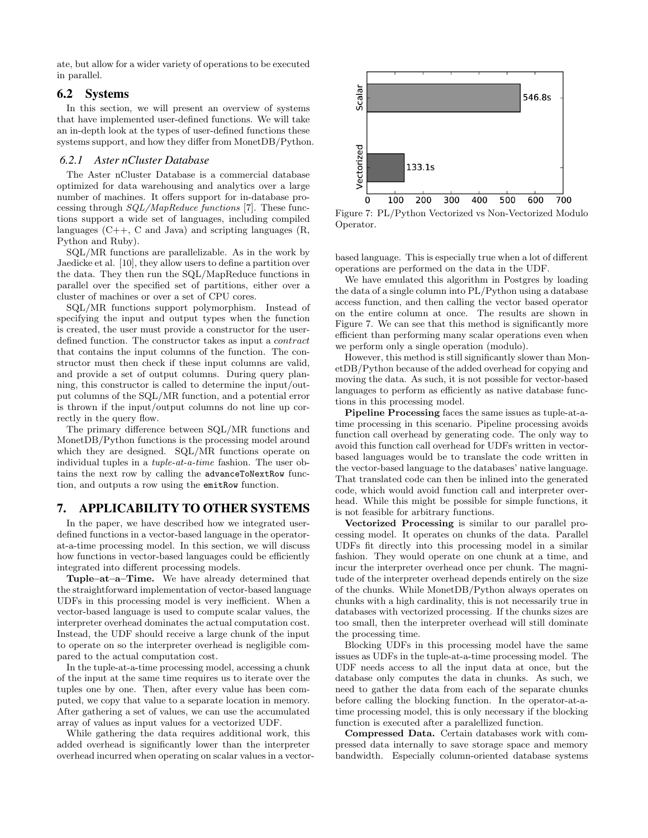ate, but allow for a wider variety of operations to be executed in parallel.

## 6.2 Systems

In this section, we will present an overview of systems that have implemented user-defined functions. We will take an in-depth look at the types of user-defined functions these systems support, and how they differ from MonetDB/Python.

#### *6.2.1 Aster nCluster Database*

The Aster nCluster Database is a commercial database optimized for data warehousing and analytics over a large number of machines. It offers support for in-database processing through SQL/MapReduce functions [7]. These functions support a wide set of languages, including compiled languages  $(C++, C$  and Java) and scripting languages  $(R,$ Python and Ruby).

SQL/MR functions are parallelizable. As in the work by Jaedicke et al. [10], they allow users to define a partition over the data. They then run the SQL/MapReduce functions in parallel over the specified set of partitions, either over a cluster of machines or over a set of CPU cores.

SQL/MR functions support polymorphism. Instead of specifying the input and output types when the function is created, the user must provide a constructor for the userdefined function. The constructor takes as input a contract that contains the input columns of the function. The constructor must then check if these input columns are valid, and provide a set of output columns. During query planning, this constructor is called to determine the input/output columns of the SQL/MR function, and a potential error is thrown if the input/output columns do not line up correctly in the query flow.

The primary difference between SQL/MR functions and MonetDB/Python functions is the processing model around which they are designed. SQL/MR functions operate on individual tuples in a tuple-at-a-time fashion. The user obtains the next row by calling the advanceToNextRow function, and outputs a row using the emitRow function.

## 7. APPLICABILITY TO OTHER SYSTEMS

In the paper, we have described how we integrated userdefined functions in a vector-based language in the operatorat-a-time processing model. In this section, we will discuss how functions in vector-based languages could be efficiently integrated into different processing models.

Tuple–at–a–Time. We have already determined that the straightforward implementation of vector-based language UDFs in this processing model is very inefficient. When a vector-based language is used to compute scalar values, the interpreter overhead dominates the actual computation cost. Instead, the UDF should receive a large chunk of the input to operate on so the interpreter overhead is negligible compared to the actual computation cost.

In the tuple-at-a-time processing model, accessing a chunk of the input at the same time requires us to iterate over the tuples one by one. Then, after every value has been computed, we copy that value to a separate location in memory. After gathering a set of values, we can use the accumulated array of values as input values for a vectorized UDF.

While gathering the data requires additional work, this added overhead is significantly lower than the interpreter overhead incurred when operating on scalar values in a vector-



Figure 7: PL/Python Vectorized vs Non-Vectorized Modulo Operator.

based language. This is especially true when a lot of different operations are performed on the data in the UDF.

We have emulated this algorithm in Postgres by loading the data of a single column into PL/Python using a database access function, and then calling the vector based operator on the entire column at once. The results are shown in Figure 7. We can see that this method is significantly more efficient than performing many scalar operations even when we perform only a single operation (modulo).

However, this method is still significantly slower than MonetDB/Python because of the added overhead for copying and moving the data. As such, it is not possible for vector-based languages to perform as efficiently as native database functions in this processing model.

Pipeline Processing faces the same issues as tuple-at-atime processing in this scenario. Pipeline processing avoids function call overhead by generating code. The only way to avoid this function call overhead for UDFs written in vectorbased languages would be to translate the code written in the vector-based language to the databases' native language. That translated code can then be inlined into the generated code, which would avoid function call and interpreter overhead. While this might be possible for simple functions, it is not feasible for arbitrary functions.

Vectorized Processing is similar to our parallel processing model. It operates on chunks of the data. Parallel UDFs fit directly into this processing model in a similar fashion. They would operate on one chunk at a time, and incur the interpreter overhead once per chunk. The magnitude of the interpreter overhead depends entirely on the size of the chunks. While MonetDB/Python always operates on chunks with a high cardinality, this is not necessarily true in databases with vectorized processing. If the chunks sizes are too small, then the interpreter overhead will still dominate the processing time.

Blocking UDFs in this processing model have the same issues as UDFs in the tuple-at-a-time processing model. The UDF needs access to all the input data at once, but the database only computes the data in chunks. As such, we need to gather the data from each of the separate chunks before calling the blocking function. In the operator-at-atime processing model, this is only necessary if the blocking function is executed after a paralellized function.

Compressed Data. Certain databases work with compressed data internally to save storage space and memory bandwidth. Especially column-oriented database systems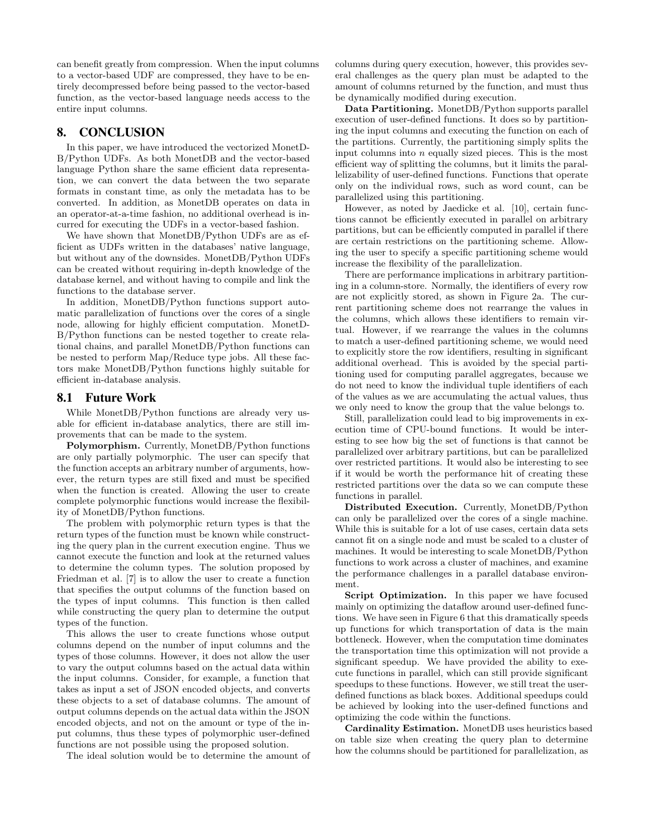can benefit greatly from compression. When the input columns to a vector-based UDF are compressed, they have to be entirely decompressed before being passed to the vector-based function, as the vector-based language needs access to the entire input columns.

## 8. CONCLUSION

In this paper, we have introduced the vectorized MonetD-B/Python UDFs. As both MonetDB and the vector-based language Python share the same efficient data representation, we can convert the data between the two separate formats in constant time, as only the metadata has to be converted. In addition, as MonetDB operates on data in an operator-at-a-time fashion, no additional overhead is incurred for executing the UDFs in a vector-based fashion.

We have shown that MonetDB/Python UDFs are as efficient as UDFs written in the databases' native language, but without any of the downsides. MonetDB/Python UDFs can be created without requiring in-depth knowledge of the database kernel, and without having to compile and link the functions to the database server.

In addition, MonetDB/Python functions support automatic parallelization of functions over the cores of a single node, allowing for highly efficient computation. MonetD-B/Python functions can be nested together to create relational chains, and parallel MonetDB/Python functions can be nested to perform Map/Reduce type jobs. All these factors make MonetDB/Python functions highly suitable for efficient in-database analysis.

#### 8.1 Future Work

While MonetDB/Python functions are already very usable for efficient in-database analytics, there are still improvements that can be made to the system.

Polymorphism. Currently, MonetDB/Python functions are only partially polymorphic. The user can specify that the function accepts an arbitrary number of arguments, however, the return types are still fixed and must be specified when the function is created. Allowing the user to create complete polymorphic functions would increase the flexibility of MonetDB/Python functions.

The problem with polymorphic return types is that the return types of the function must be known while constructing the query plan in the current execution engine. Thus we cannot execute the function and look at the returned values to determine the column types. The solution proposed by Friedman et al. [7] is to allow the user to create a function that specifies the output columns of the function based on the types of input columns. This function is then called while constructing the query plan to determine the output types of the function.

This allows the user to create functions whose output columns depend on the number of input columns and the types of those columns. However, it does not allow the user to vary the output columns based on the actual data within the input columns. Consider, for example, a function that takes as input a set of JSON encoded objects, and converts these objects to a set of database columns. The amount of output columns depends on the actual data within the JSON encoded objects, and not on the amount or type of the input columns, thus these types of polymorphic user-defined functions are not possible using the proposed solution.

The ideal solution would be to determine the amount of

columns during query execution, however, this provides several challenges as the query plan must be adapted to the amount of columns returned by the function, and must thus be dynamically modified during execution.

Data Partitioning. MonetDB/Python supports parallel execution of user-defined functions. It does so by partitioning the input columns and executing the function on each of the partitions. Currently, the partitioning simply splits the input columns into  $n$  equally sized pieces. This is the most efficient way of splitting the columns, but it limits the parallelizability of user-defined functions. Functions that operate only on the individual rows, such as word count, can be parallelized using this partitioning.

However, as noted by Jaedicke et al. [10], certain functions cannot be efficiently executed in parallel on arbitrary partitions, but can be efficiently computed in parallel if there are certain restrictions on the partitioning scheme. Allowing the user to specify a specific partitioning scheme would increase the flexibility of the parallelization.

There are performance implications in arbitrary partitioning in a column-store. Normally, the identifiers of every row are not explicitly stored, as shown in Figure 2a. The current partitioning scheme does not rearrange the values in the columns, which allows these identifiers to remain virtual. However, if we rearrange the values in the columns to match a user-defined partitioning scheme, we would need to explicitly store the row identifiers, resulting in significant additional overhead. This is avoided by the special partitioning used for computing parallel aggregates, because we do not need to know the individual tuple identifiers of each of the values as we are accumulating the actual values, thus we only need to know the group that the value belongs to.

Still, parallelization could lead to big improvements in execution time of CPU-bound functions. It would be interesting to see how big the set of functions is that cannot be parallelized over arbitrary partitions, but can be parallelized over restricted partitions. It would also be interesting to see if it would be worth the performance hit of creating these restricted partitions over the data so we can compute these functions in parallel.

Distributed Execution. Currently, MonetDB/Python can only be parallelized over the cores of a single machine. While this is suitable for a lot of use cases, certain data sets cannot fit on a single node and must be scaled to a cluster of machines. It would be interesting to scale MonetDB/Python functions to work across a cluster of machines, and examine the performance challenges in a parallel database environment.

Script Optimization. In this paper we have focused mainly on optimizing the dataflow around user-defined functions. We have seen in Figure 6 that this dramatically speeds up functions for which transportation of data is the main bottleneck. However, when the computation time dominates the transportation time this optimization will not provide a significant speedup. We have provided the ability to execute functions in parallel, which can still provide significant speedups to these functions. However, we still treat the userdefined functions as black boxes. Additional speedups could be achieved by looking into the user-defined functions and optimizing the code within the functions.

Cardinality Estimation. MonetDB uses heuristics based on table size when creating the query plan to determine how the columns should be partitioned for parallelization, as